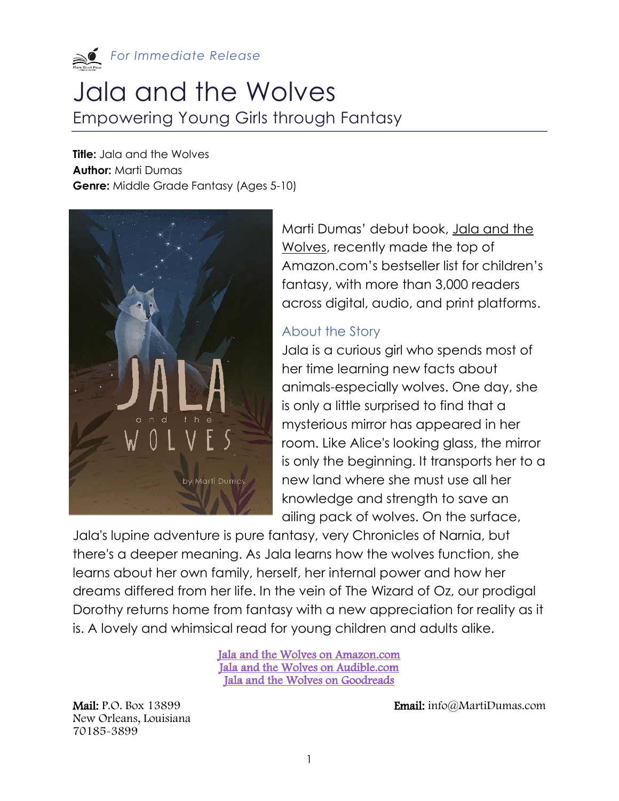

*For Immediate Release*

## Jala and the Wolves Empowering Young Girls through Fantasy

**Title:** Jala and the Wolves **Author:** Marti Dumas **Genre:** Middle Grade Fantasy (Ages 5-10)



Marti Dumas' debut book, Jala and the Wolves, recently made the top of Amazon.com's bestseller list for children's fantasy, with more than 3,000 readers across digital, audio, and print platforms.

## About the Story

Jala is a curious girl who spends most of her time learning new facts about animals-especially wolves. One day, she is only a little surprised to find that a mysterious mirror has appeared in her room. Like Alice's looking glass, the mirror is only the beginning. It transports her to a new land where she must use all her knowledge and strength to save an ailing pack of wolves. On the surface,

Jala's lupine adventure is pure fantasy, very Chronicles of Narnia, but there's a deeper meaning. As Jala learns how the wolves function, she learns about her own family, herself, her internal power and how her dreams differed from her life. In the vein of The Wizard of Oz, our prodigal Dorothy returns home from fantasy with a new appreciation for reality as it is. A lovely and whimsical read for young children and adults alike.

> [Jala and the Wolves on Amazon.com](http://www.amazon.com/Jala-Wolves-Marti-Dumas/dp/150780542X/ref=sr_1_1?ie=UTF8&qid=1427659612&sr=8-1&keywords=Jala+and+the+Wolves)  [Jala and the Wolves on Audible.com](http://www.audible.com/pd/Kids/Jala-and-the-Wolves-Audiobook/B00TEE26BE/ref=a_search_c4_1_1_srTtl?qid=1427659643&sr=1-1)  [Jala and the Wolves on Goodreads](https://www.goodreads.com/book/show/25182166-jala-and-the-wolves?from_search=true)

New Orleans, Louisiana 70185-3899

Mail: P.O. Box 13899 Email: info@MartiDumas.com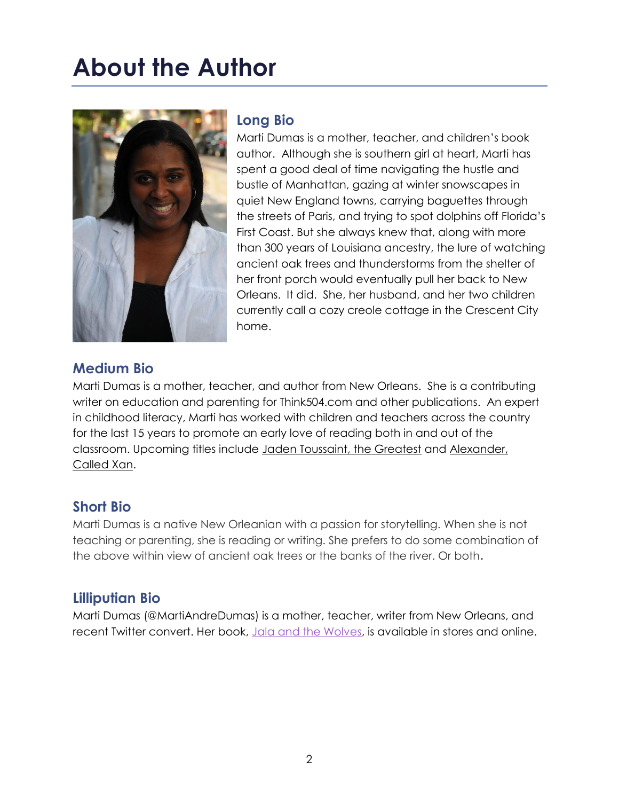# **About the Author**



## **Long Bio**

Marti Dumas is a mother, teacher, and children's book author. Although she is southern girl at heart, Marti has spent a good deal of time navigating the hustle and bustle of Manhattan, gazing at winter snowscapes in quiet New England towns, carrying baguettes through the streets of Paris, and trying to spot dolphins off Florida's First Coast. But she always knew that, along with more than 300 years of Louisiana ancestry, the lure of watching ancient oak trees and thunderstorms from the shelter of her front porch would eventually pull her back to New Orleans. It did. She, her husband, and her two children currently call a cozy creole cottage in the Crescent City home.

## **Medium Bio**

Marti Dumas is a mother, teacher, and author from New Orleans. She is a contributing writer on education and parenting for Think504.com and other publications. An expert in childhood literacy, Marti has worked with children and teachers across the country for the last 15 years to promote an early love of reading both in and out of the classroom. Upcoming titles include Jaden Toussaint, the Greatest and Alexander, Called Xan.

## **Short Bio**

Marti Dumas is a native New Orleanian with a passion for storytelling. When she is not teaching or parenting, she is reading or writing. She prefers to do some combination of the above within view of ancient oak trees or the banks of the river. Or both.

## **Lilliputian Bio**

Marti Dumas (@MartiAndreDumas) is a mother, teacher, writer from New Orleans, and recent Twitter convert. Her book, [Jala and the Wolves,](http://www.martidumasbooks.com/#!books/c96d) is available in stores and online.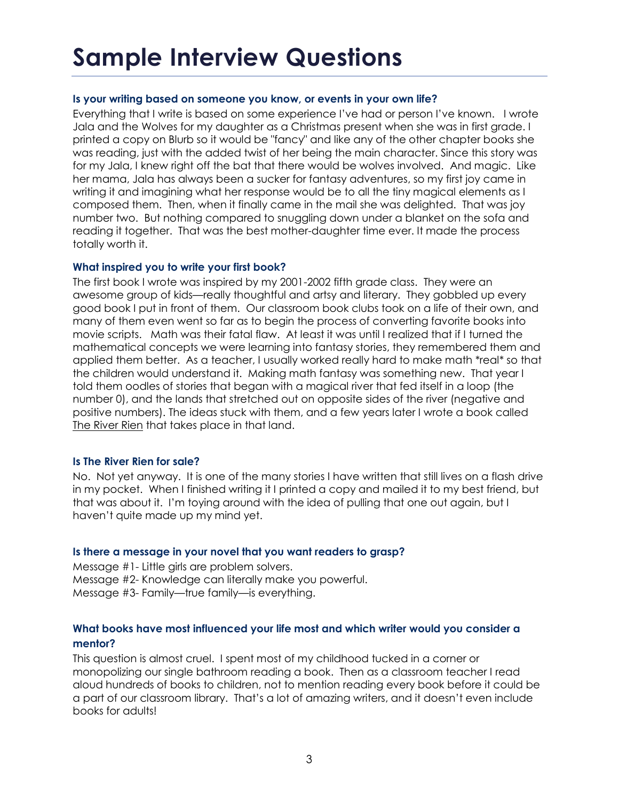## **Sample Interview Questions**

#### **Is your writing based on someone you know, or events in your own life?**

Everything that I write is based on some experience I've had or person I've known. I wrote Jala and the Wolves for my daughter as a Christmas present when she was in first grade. I printed a copy on Blurb so it would be "fancy" and like any of the other chapter books she was reading, just with the added twist of her being the main character. Since this story was for my Jala, I knew right off the bat that there would be wolves involved. And magic. Like her mama, Jala has always been a sucker for fantasy adventures, so my first joy came in writing it and imagining what her response would be to all the tiny magical elements as I composed them. Then, when it finally came in the mail she was delighted. That was joy number two. But nothing compared to snuggling down under a blanket on the sofa and reading it together. That was the best mother-daughter time ever. It made the process totally worth it.

#### **What inspired you to write your first book?**

The first book I wrote was inspired by my 2001-2002 fifth grade class. They were an awesome group of kids—really thoughtful and artsy and literary. They gobbled up every good book I put in front of them. Our classroom book clubs took on a life of their own, and many of them even went so far as to begin the process of converting favorite books into movie scripts. Math was their fatal flaw. At least it was until I realized that if I turned the mathematical concepts we were learning into fantasy stories, they remembered them and applied them better. As a teacher, I usually worked really hard to make math \*real\* so that the children would understand it. Making math fantasy was something new. That year I told them oodles of stories that began with a magical river that fed itself in a loop (the number 0), and the lands that stretched out on opposite sides of the river (negative and positive numbers). The ideas stuck with them, and a few years later I wrote a book called The River Rien that takes place in that land.

#### **Is The River Rien for sale?**

No. Not yet anyway. It is one of the many stories I have written that still lives on a flash drive in my pocket. When I finished writing it I printed a copy and mailed it to my best friend, but that was about it. I'm toying around with the idea of pulling that one out again, but I haven't quite made up my mind yet.

#### **Is there a message in your novel that you want readers to grasp?**

Message #1- Little girls are problem solvers. Message #2- Knowledge can literally make you powerful. Message #3- Family—true family—is everything.

#### **What books have most influenced your life most and which writer would you consider a mentor?**

This question is almost cruel. I spent most of my childhood tucked in a corner or monopolizing our single bathroom reading a book. Then as a classroom teacher I read aloud hundreds of books to children, not to mention reading every book before it could be a part of our classroom library. That's a lot of amazing writers, and it doesn't even include books for adults!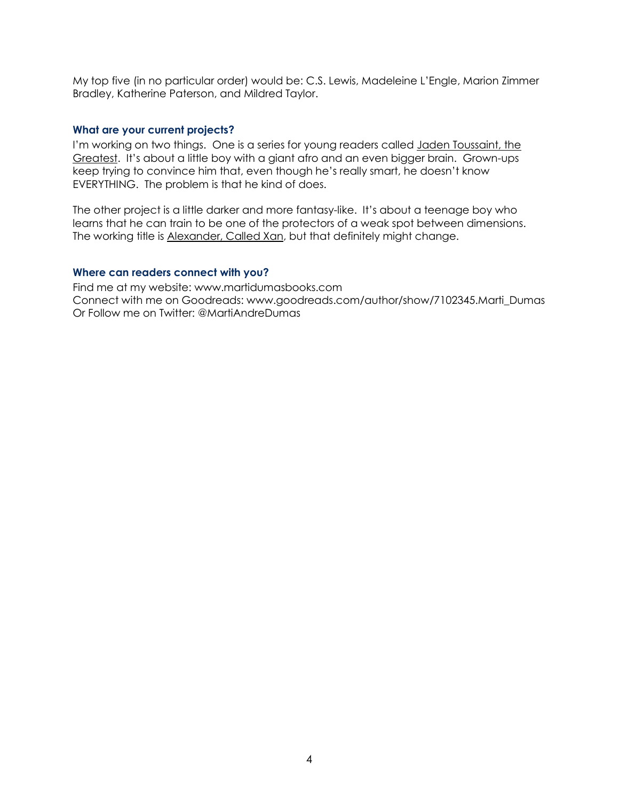My top five (in no particular order) would be: C.S. Lewis, Madeleine L'Engle, Marion Zimmer Bradley, Katherine Paterson, and Mildred Taylor.

#### **What are your current projects?**

I'm working on two things. One is a series for young readers called Jaden Toussaint, the Greatest. It's about a little boy with a giant afro and an even bigger brain. Grown-ups keep trying to convince him that, even though he's really smart, he doesn't know EVERYTHING. The problem is that he kind of does.

The other project is a little darker and more fantasy-like. It's about a teenage boy who learns that he can train to be one of the protectors of a weak spot between dimensions. The working title is Alexander, Called Xan, but that definitely might change.

#### **Where can readers connect with you?**

Find me at my website: www.martidumasbooks.com Connect with me on Goodreads: www.goodreads.com/author/show/7102345.Marti\_Dumas Or Follow me on Twitter: @MartiAndreDumas